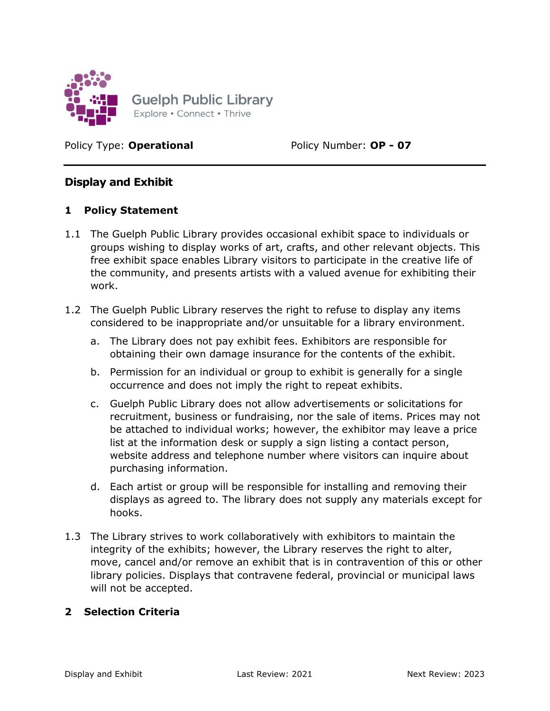

Policy Type: **Operational** Policy Number: **OP - 07** 

# Display and Exhibit

### 1 Policy Statement

- 1.1 The Guelph Public Library provides occasional exhibit space to individuals or groups wishing to display works of art, crafts, and other relevant objects. This free exhibit space enables Library visitors to participate in the creative life of the community, and presents artists with a valued avenue for exhibiting their work.
- 1.2 The Guelph Public Library reserves the right to refuse to display any items considered to be inappropriate and/or unsuitable for a library environment.
	- a. The Library does not pay exhibit fees. Exhibitors are responsible for obtaining their own damage insurance for the contents of the exhibit.
	- b. Permission for an individual or group to exhibit is generally for a single occurrence and does not imply the right to repeat exhibits.
	- c. Guelph Public Library does not allow advertisements or solicitations for recruitment, business or fundraising, nor the sale of items. Prices may not be attached to individual works; however, the exhibitor may leave a price list at the information desk or supply a sign listing a contact person, website address and telephone number where visitors can inquire about purchasing information.
	- d. Each artist or group will be responsible for installing and removing their displays as agreed to. The library does not supply any materials except for hooks.
- 1.3 The Library strives to work collaboratively with exhibitors to maintain the integrity of the exhibits; however, the Library reserves the right to alter, move, cancel and/or remove an exhibit that is in contravention of this or other library policies. Displays that contravene federal, provincial or municipal laws will not be accepted.

#### 2 Selection Criteria